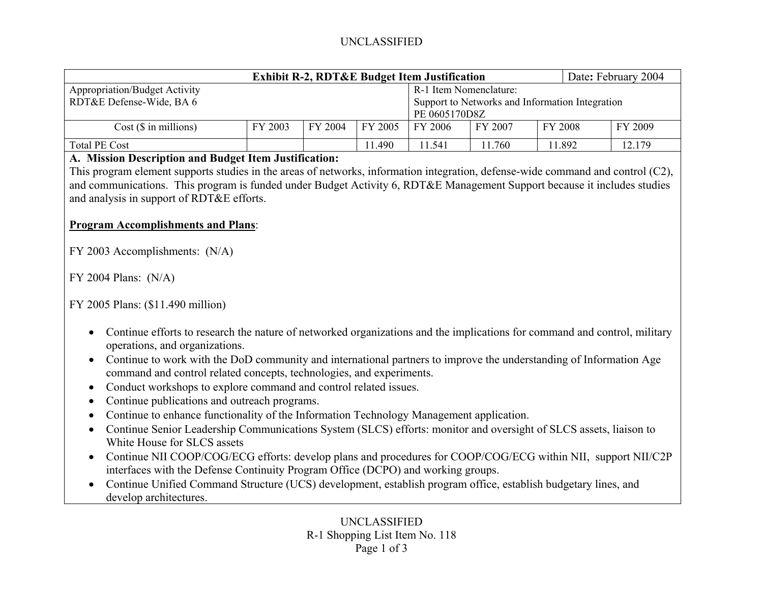## UNCLASSIFIED

| <b>Exhibit R-2, RDT&amp;E Budget Item Justification</b> |         |         |                                                 |         |               |         | Date: February 2004 |         |  |
|---------------------------------------------------------|---------|---------|-------------------------------------------------|---------|---------------|---------|---------------------|---------|--|
| <b>Appropriation/Budget Activity</b>                    |         |         | R-1 Item Nomenclature:                          |         |               |         |                     |         |  |
| RDT&E Defense-Wide, BA 6                                |         |         | Support to Networks and Information Integration |         |               |         |                     |         |  |
|                                                         |         |         |                                                 |         | PE 0605170D8Z |         |                     |         |  |
| $Cost$ ( $\$\$ in millions)                             | FY 2003 | FY 2004 | FY 2005                                         | FY 2006 | FY 2007       | FY 2008 |                     | FY 2009 |  |
| <b>Total PE Cost</b>                                    |         |         | 1490                                            | 11.541  | 11.760        | 1.892   |                     | 12.179  |  |

#### **A. Mission Description and Budget Item Justification:**

This program element supports studies in the areas of networks, information integration, defense-wide command and control (C2), and communications. This program is funded under Budget Activity 6, RDT&E Management Support because it includes studies and analysis in support of RDT&E efforts.

### **Program Accomplishments and Plans**:

FY 2003 Accomplishments: (N/A)

FY 2004 Plans: (N/A)

FY 2005 Plans: (\$11.490 million)

- Continue efforts to research the nature of networked organizations and the implications for command and control, military operations, and organizations.
- Continue to work with the DoD community and international partners to improve the understanding of Information Age command and control related concepts, technologies, and experiments.
- •Conduct workshops to explore command and control related issues.
- •Continue publications and outreach programs.
- Continue to enhance functionality of the Information Technology Management application.
- Continue Senior Leadership Communications System (SLCS) efforts: monitor and oversight of SLCS assets, liaison to White House for SLCS assets
- Continue NII COOP/COG/ECG efforts: develop plans and procedures for COOP/COG/ECG within NII, support NII/C2P interfaces with the Defense Continuity Program Office (DCPO) and working groups.
- Continue Unified Command Structure (UCS) development, establish program office, establish budgetary lines, and develop architectures.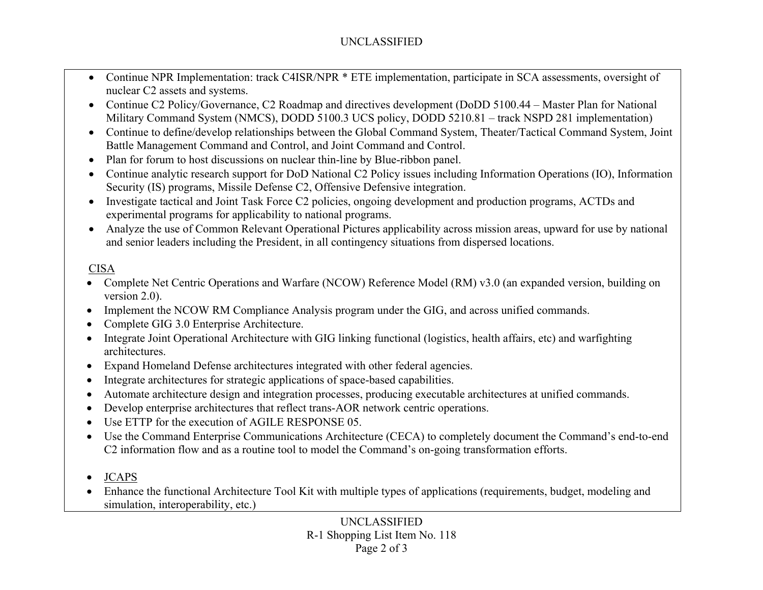# UNCLASSIFIED

- Continue NPR Implementation: track C4ISR/NPR \* ETE implementation, participate in SCA assessments, oversight of nuclear C2 assets and systems.
- Continue C2 Policy/Governance, C2 Roadmap and directives development (DoDD 5100.44 Master Plan for National Military Command System (NMCS), DODD 5100.3 UCS policy, DODD 5210.81 – track NSPD 281 implementation)
- Continue to define/develop relationships between the Global Command System, Theater/Tactical Command System, Joint Battle Management Command and Control, and Joint Command and Control.
- Plan for forum to host discussions on nuclear thin-line by Blue-ribbon panel.
- Continue analytic research support for DoD National C2 Policy issues including Information Operations (IO), Information Security (IS) programs, Missile Defense C2, Offensive Defensive integration.
- Investigate tactical and Joint Task Force C2 policies, ongoing development and production programs, ACTDs and experimental programs for applicability to national programs.
- Analyze the use of Common Relevant Operational Pictures applicability across mission areas, upward for use by national and senior leaders including the President, in all contingency situations from dispersed locations.

# CISA

- Complete Net Centric Operations and Warfare (NCOW) Reference Model (RM) v3.0 (an expanded version, building on version 2.0).
- •Implement the NCOW RM Compliance Analysis program under the GIG, and across unified commands.
- •Complete GIG 3.0 Enterprise Architecture.
- $\bullet$  Integrate Joint Operational Architecture with GIG linking functional (logistics, health affairs, etc) and warfighting architectures.
- •Expand Homeland Defense architectures integrated with other federal agencies.
- •Integrate architectures for strategic applications of space-based capabilities.
- •Automate architecture design and integration processes, producing executable architectures at unified commands.
- •Develop enterprise architectures that reflect trans-AOR network centric operations.
- •Use ETTP for the execution of AGILE RESPONSE 05.
- Use the Command Enterprise Communications Architecture (CECA) to completely document the Command's end-to-end C2 information flow and as a routine tool to model the Command's on-going transformation efforts.
- •JCAPS
- • Enhance the functional Architecture Tool Kit with multiple types of applications (requirements, budget, modeling and simulation, interoperability, etc.)